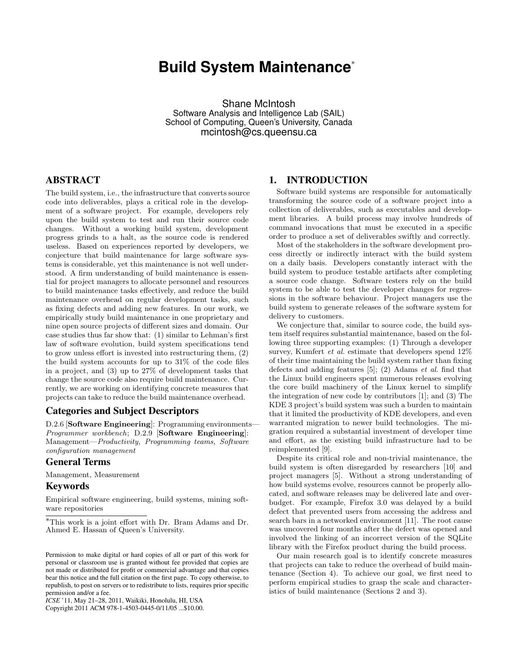# **Build System Maintenance**<sup>∗</sup>

Shane McIntosh Software Analysis and Intelligence Lab (SAIL) School of Computing, Queen's University, Canada mcintosh@cs.queensu.ca

# ABSTRACT

The build system, i.e., the infrastructure that converts source code into deliverables, plays a critical role in the development of a software project. For example, developers rely upon the build system to test and run their source code changes. Without a working build system, development progress grinds to a halt, as the source code is rendered useless. Based on experiences reported by developers, we conjecture that build maintenance for large software systems is considerable, yet this maintenance is not well understood. A firm understanding of build maintenance is essential for project managers to allocate personnel and resources to build maintenance tasks effectively, and reduce the build maintenance overhead on regular development tasks, such as fixing defects and adding new features. In our work, we empirically study build maintenance in one proprietary and nine open source projects of different sizes and domain. Our case studies thus far show that: (1) similar to Lehman's first law of software evolution, build system specifications tend to grow unless effort is invested into restructuring them, (2) the build system accounts for up to 31% of the code files in a project, and (3) up to 27% of development tasks that change the source code also require build maintenance. Currently, we are working on identifying concrete measures that projects can take to reduce the build maintenance overhead.

### Categories and Subject Descriptors

D.2.6 [Software Engineering]: Programming environments-Programmer workbench; D.2.9 [Software Engineering]: Management—Productivity, Programming teams, Software configuration management

## General Terms

Management, Measurement

### Keywords

Empirical software engineering, build systems, mining software repositories

*ICSE* '11, May 21–28, 2011, Waikiki, Honolulu, HI, USA

Copyright 2011 ACM 978-1-4503-0445-0/11/05 ...\$10.00.

### 1. INTRODUCTION

Software build systems are responsible for automatically transforming the source code of a software project into a collection of deliverables, such as executables and development libraries. A build process may involve hundreds of command invocations that must be executed in a specific order to produce a set of deliverables swiftly and correctly.

Most of the stakeholders in the software development process directly or indirectly interact with the build system on a daily basis. Developers constantly interact with the build system to produce testable artifacts after completing a source code change. Software testers rely on the build system to be able to test the developer changes for regressions in the software behaviour. Project managers use the build system to generate releases of the software system for delivery to customers.

We conjecture that, similar to source code, the build system itself requires substantial maintenance, based on the following three supporting examples: (1) Through a developer survey, Kumfert *et al.* estimate that developers spend  $12\%$ of their time maintaining the build system rather than fixing defects and adding features [5]; (2) Adams et al. find that the Linux build engineers spent numerous releases evolving the core build machinery of the Linux kernel to simplify the integration of new code by contributors [1]; and (3) The KDE 3 project's build system was such a burden to maintain that it limited the productivity of KDE developers, and even warranted migration to newer build technologies. The migration required a substantial investment of developer time and effort, as the existing build infrastructure had to be reimplemented [9].

Despite its critical role and non-trivial maintenance, the build system is often disregarded by researchers [10] and project managers [5]. Without a strong understanding of how build systems evolve, resources cannot be properly allocated, and software releases may be delivered late and overbudget. For example, Firefox 3.0 was delayed by a build defect that prevented users from accessing the address and search bars in a networked environment [11]. The root cause was uncovered four months after the defect was opened and involved the linking of an incorrect version of the SQLite library with the Firefox product during the build process.

Our main research goal is to identify concrete measures that projects can take to reduce the overhead of build maintenance (Section 4). To achieve our goal, we first need to perform empirical studies to grasp the scale and characteristics of build maintenance (Sections 2 and 3).

<sup>∗</sup>This work is a joint effort with Dr. Bram Adams and Dr. Ahmed E. Hassan of Queen's University.

Permission to make digital or hard copies of all or part of this work for personal or classroom use is granted without fee provided that copies are not made or distributed for profit or commercial advantage and that copies bear this notice and the full citation on the first page. To copy otherwise, to republish, to post on servers or to redistribute to lists, requires prior specific permission and/or a fee.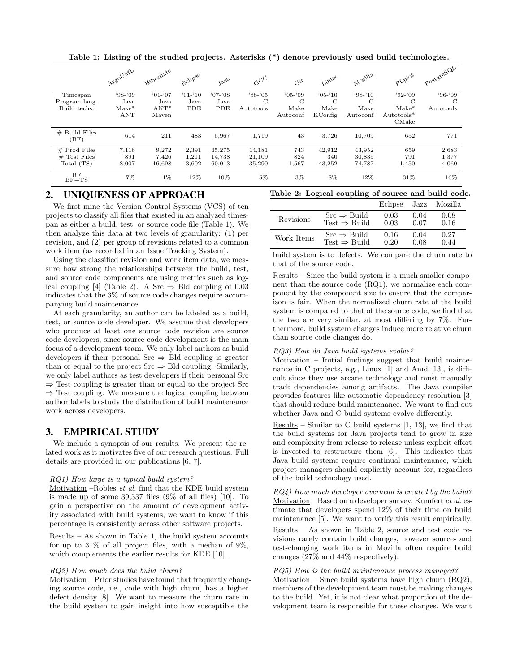|                         | ArgoUML    | Hibernate | <b>Ficlipse</b> | $3e^{i\theta}$ | $c^{\rm CC}$ | Git           | Linux         | Mozilla     | PLIPIOt       | PostgreSQU |
|-------------------------|------------|-----------|-----------------|----------------|--------------|---------------|---------------|-------------|---------------|------------|
| Timespan                | $'98-'09$  | $'01-'07$ | $'01-'10$       | $'07-'08$      | $'88 - '05$  | $'05-'09$     | $'05-'10$     | $'98-'10$   | $'92-'09$     | $'96-'09$  |
| Program lang.           | Java       | Java      | Java            | Java           | C            | $\mathcal{C}$ | $\mathcal{C}$ | $\mathbf C$ | $\mathcal{C}$ | C          |
| Build techs.            | $Make*$    | $ANT*$    | PDE             | PDE            | Autotools    | Make          | Make          | Make        | $Make*$       | Autotools  |
|                         | <b>ANT</b> | Maven     |                 |                |              | Autoconf      | KConfig       | Autoconf    | Autotools*    |            |
|                         |            |           |                 |                |              |               |               |             | CMake         |            |
| $#$ Build Files<br>(BF) | 614        | 211       | 483             | 5,967          | 1,719        | 43            | 3.726         | 10,709      | 652           | 771        |
| $#$ Prod Files          | 7,116      | 9,272     | 2,391           | 45,275         | 14,181       | 743           | 42,912        | 43,952      | 659           | 2,683      |
| $#$ Test Files          | 891        | 7,426     | 1,211           | 14,738         | 21,109       | 824           | 340           | 30,835      | 791           | 1,377      |
| Total (TS)              | 8,007      | 16,698    | 3,602           | 60,013         | 35,290       | 1,567         | 43,252        | 74,787      | 1,450         | 4,060      |
| BF<br>$BF + TS$         | $7\%$      | 1%        | 12%             | 10%            | $5\%$        | $3\%$         | 8%            | 12%         | 31\%          | 16%        |

Table 1: Listing of the studied projects. Asterisks (\*) denote previously used build technologies.

# 2. UNIQUENESS OF APPROACH

We first mine the Version Control Systems (VCS) of ten projects to classify all files that existed in an analyzed timespan as either a build, test, or source code file (Table 1). We then analyze this data at two levels of granularity: (1) per revision, and (2) per group of revisions related to a common work item (as recorded in an Issue Tracking System).

Using the classified revision and work item data, we measure how strong the relationships between the build, test, and source code components are using metrics such as logical coupling [4] (Table 2). A Src  $\Rightarrow$  Bld coupling of 0.03 indicates that the 3% of source code changes require accompanying build maintenance.

At each granularity, an author can be labeled as a build, test, or source code developer. We assume that developers who produce at least one source code revision are source code developers, since source code development is the main focus of a development team. We only label authors as build developers if their personal Src  $\Rightarrow$  Bld coupling is greater than or equal to the project  $Src \Rightarrow Bld$  coupling. Similarly, we only label authors as test developers if their personal Src ⇒ Test coupling is greater than or equal to the project Src  $\Rightarrow$  Test coupling. We measure the logical coupling between author labels to study the distribution of build maintenance work across developers.

# 3. EMPIRICAL STUDY

We include a synopsis of our results. We present the related work as it motivates five of our research questions. Full details are provided in our publications [6, 7].

#### RQ1) How large is a typical build system?

Motivation –Robles et al. find that the KDE build system is made up of some  $39,337$  files  $(9\% \text{ of all files})$  [10]. To gain a perspective on the amount of development activity associated with build systems, we want to know if this percentage is consistently across other software projects.

Results – As shown in Table 1, the build system accounts for up to 31% of all project files, with a median of 9%, which complements the earlier results for KDE [10].

#### RQ2) How much does the build churn?

Motivation – Prior studies have found that frequently changing source code, i.e., code with high churn, has a higher defect density [8]. We want to measure the churn rate in the build system to gain insight into how susceptible the

|  | Table 2: Logical coupling of source and build code. |  |  |
|--|-----------------------------------------------------|--|--|
|  | Eclipse Jazz Mozilla                                |  |  |

|            |                          | <b>LUTHOL</b> DULL |      | windstite |
|------------|--------------------------|--------------------|------|-----------|
| Revisions  | $Src \Rightarrow$ Build  | 0.03               | 0.04 | 0.08      |
|            | Test $\Rightarrow$ Build | 0.03               | 0.07 | 0.16      |
| Work Items | $Src \Rightarrow Build$  | 0.16               | 0.04 | 0.27      |
|            | Test $\Rightarrow$ Build | 0.20               | 0.08 | 0.44      |

build system is to defects. We compare the churn rate to that of the source code.

Results – Since the build system is a much smaller component than the source code (RQ1), we normalize each component by the component size to ensure that the comparison is fair. When the normalized churn rate of the build system is compared to that of the source code, we find that the two are very similar, at most differing by 7%. Furthermore, build system changes induce more relative churn than source code changes do.

#### RQ3) How do Java build systems evolve?

Motivation – Initial findings suggest that build maintenance in C projects, e.g., Linux [1] and Amd [13], is difficult since they use arcane technology and must manually track dependencies among artifacts. The Java compiler provides features like automatic dependency resolution [3] that should reduce build maintenance. We want to find out whether Java and C build systems evolve differently.

Results – Similar to C build systems  $[1, 13]$ , we find that the build systems for Java projects tend to grow in size and complexity from release to release unless explicit effort is invested to restructure them [6]. This indicates that Java build systems require continual maintenance, which project managers should explicitly account for, regardless of the build technology used.

RQ4) How much developer overhead is created by the build? Motivation – Based on a developer survey, Kumfert *et al.* estimate that developers spend 12% of their time on build maintenance [5]. We want to verify this result empirically.

Results – As shown in Table 2, source and test code revisions rarely contain build changes, however source- and test-changing work items in Mozilla often require build changes (27% and 44% respectively).

#### RQ5) How is the build maintenance process managed?

Motivation – Since build systems have high churn  $(RQ2)$ , members of the development team must be making changes to the build. Yet, it is not clear what proportion of the development team is responsible for these changes. We want